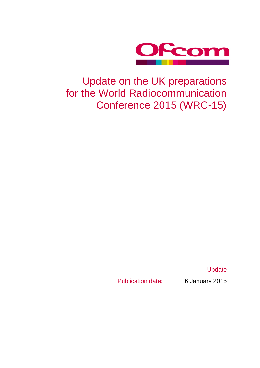

## Update on the UK preparations for the World Radiocommunication Conference 2015 (WRC-15)

**Update** 

Publication date: 6 January 2015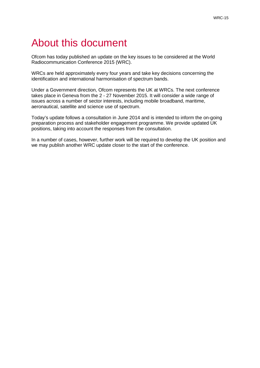# About this document

Ofcom has today published an update on the key issues to be considered at the World Radiocommunication Conference 2015 (WRC).

WRCs are held approximately every four years and take key decisions concerning the identification and international harmonisation of spectrum bands.

Under a Government direction, Ofcom represents the UK at WRCs. The next conference takes place in Geneva from the 2 - 27 November 2015. It will consider a wide range of issues across a number of sector interests, including mobile broadband, maritime, aeronautical, satellite and science use of spectrum.

Today's update follows a consultation in June 2014 and is intended to inform the on-going preparation process and stakeholder engagement programme. We provide updated UK positions, taking into account the responses from the consultation.

In a number of cases, however, further work will be required to develop the UK position and we may publish another WRC update closer to the start of the conference.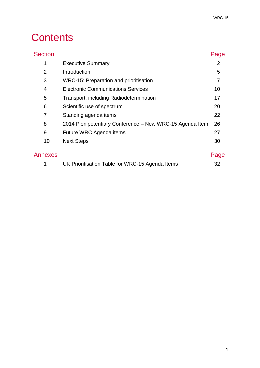# **Contents**

| <b>Section</b> |                                                          | Page |
|----------------|----------------------------------------------------------|------|
| 1              | <b>Executive Summary</b>                                 | 2    |
| $\overline{2}$ | Introduction                                             | 5    |
| 3              | WRC-15: Preparation and prioritisation                   | 7    |
| 4              | <b>Electronic Communications Services</b>                | 10   |
| 5              | Transport, including Radiodetermination                  | 17   |
| 6              | Scientific use of spectrum                               | 20   |
| 7              | Standing agenda items                                    | 22   |
| 8              | 2014 Plenipotentiary Conference - New WRC-15 Agenda Item | 26   |
| 9              | Future WRC Agenda items                                  | 27   |
| 10             | <b>Next Steps</b>                                        | 30   |
| Annexes        |                                                          | Page |
|                |                                                          |      |

| UK Prioritisation Table for WRC-15 Agenda Items |
|-------------------------------------------------|
|-------------------------------------------------|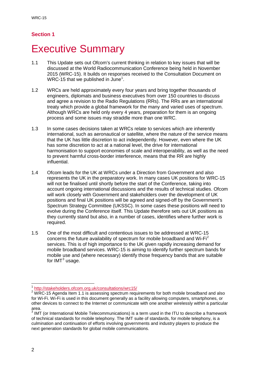## **Executive Summary**

- 1.1 This Update sets out Ofcom's current thinking in relation to key issues that will be discussed at the World Radiocommunication Conference being held in November 2015 (WRC-15). It builds on responses received to the Consultation Document on WRC-[1](#page-4-0)5 that we published in June<sup>1</sup>.
- 1.2 WRCs are held approximately every four years and bring together thousands of engineers, diplomats and business executives from over 150 countries to discuss and agree a revision to the Radio Regulations (RRs). The RRs are an international treaty which provide a global framework for the many and varied uses of spectrum. Although WRCs are held only every 4 years, preparation for them is an ongoing process and some issues may straddle more than one WRC.
- 1.3 In some cases decisions taken at WRCs relate to services which are inherently international, such as aeronautical or satellite, where the nature of the service means that the UK has little discretion to act independently. However, even where the UK has some discretion to act at a national level, the drive for international harmonisation to support economies of scale and interoperability, as well as the need to prevent harmful cross-border interference, means that the RR are highly influential.
- 1.4 Ofcom leads for the UK at WRCs under a Direction from Government and also represents the UK in the preparatory work. In many cases UK positions for WRC-15 will not be finalised until shortly before the start of the Conference, taking into account ongoing international discussions and the results of technical studies. Ofcom will work closely with Government and stakeholders over the development of UK positions and final UK positions will be agreed and signed-off by the Government's Spectrum Strategy Committee (UKSSC). In some cases these positions will need to evolve during the Conference itself. This Update therefore sets out UK positions as they currently stand but also, in a number of cases, identifies where further work is required.
- 1.5 One of the most difficult and contentious issues to be addressed at WRC-15 concerns the future availability of spectrum for mobile broadband and Wi-Fi<sup>[2](#page-4-1)</sup> services. This is of high importance to the UK given rapidly increasing demand for mobile broadband services. WRC-15 is aiming to identify further spectrum bands for mobile use and (where necessary) identify those frequency bands that are suitable for  $IMT<sup>3</sup>$  $IMT<sup>3</sup>$  $IMT<sup>3</sup>$  usage.

<sup>1</sup> <http://stakeholders.ofcom.org.uk/consultations/wrc15/>  $\overline{a}$ 

<span id="page-4-1"></span><span id="page-4-0"></span> $2$  WRC-15 Agenda Item 1.1 is assessing spectrum requirements for both mobile broadband and also for Wi-Fi. Wi-Fi is used in this document generally as a facility allowing computers, smartphones, or other devices to connect to the Internet or communicate with one another wirelessly within a particular

<span id="page-4-2"></span>IMT (or International Mobile Telecommunications) is a term used in the ITU to describe a framework of technical standards for mobile telephony. The IMT suite of standards, for mobile telephony, is a culmination and continuation of efforts involving governments and industry players to produce the next generation standards for global mobile communications.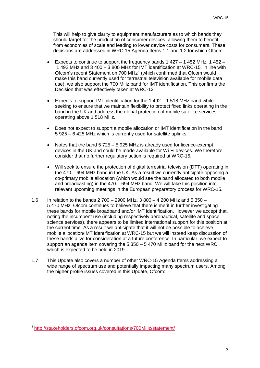This will help to give clarity to equipment manufacturers as to which bands they should target for the production of consumer devices, allowing them to benefit from economies of scale and leading to lower device costs for consumers. These decisions are addressed in WRC-15 Agenda Items 1.1 and 1.2 for which Ofcom:

- Expects to continue to support the frequency bands  $1427 1452$  MHz,  $1452 -$ 1 492 MHz and 3 400 – 3 800 MHz for IMT identification at WRC-15. In line with Ofcom's recent Statement on 700 MHz<sup>[4](#page-5-0)</sup> (which confirmed that Ofcom would make this band currently used for terrestrial television available for mobile data use), we also support the 700 MHz band for IMT identification. This confirms the Decision that was effectively taken at WRC-12.
- Expects to support IMT identification for the 1 492 1 518 MHz band while seeking to ensure that we maintain flexibility to protect fixed links operating in the band in the UK and address the global protection of mobile satellite services operating above 1 518 MHz.
- Does not expect to support a mobile allocation or IMT identification in the band 5 925 – 6 425 MHz which is currently used for satellite uplinks.
- Notes that the band 5 725 5 925 MHz is already used for licence-exempt devices in the UK and could be made available for Wi-Fi devices. We therefore consider that no further regulatory action is required at WRC-15.
- Will seek to ensure the protection of digital terrestrial television (DTT) operating in the 470 – 694 MHz band in the UK. As a result we currently anticipate opposing a co-primary mobile allocation (which would see the band allocated to both mobile and broadcasting) in the  $470 - 694$  MHz band. We will take this position into relevant upcoming meetings in the European preparatory process for WRC-15.
- 1.6 In relation to the bands 2 700 2900 MHz, 3 800 4 200 MHz and 5 350 5 470 MHz, Ofcom continues to believe that there is merit in further investigating these bands for mobile broadband and/or IMT identification. However we accept that, noting the incumbent use (including respectively aeronautical, satellite and space science services), there appears to be limited international support for this position at the current time. As a result we anticipate that it will not be possible to achieve mobile allocation/IMT identification at WRC-15 but we will instead keep discussion of these bands alive for consideration at a future conference. In particular, we expect to support an agenda item covering the 5 350 – 5 470 MHz band for the next WRC which is expected to be held in 2019.
- 1.7 This Update also covers a number of other WRC-15 Agenda Items addressing a wide range of spectrum use and potentially impacting many spectrum users. Among the higher profile issues covered in this Update, Ofcom:

<span id="page-5-0"></span><sup>4</sup> <http://stakeholders.ofcom.org.uk/consultations/700MHz/statement/> -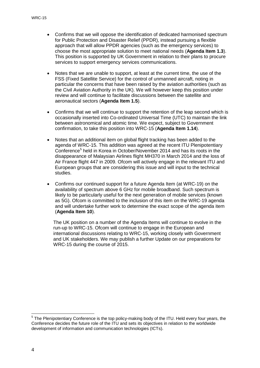- Confirms that we will oppose the identification of dedicated harmonised spectrum for Public Protection and Disaster Relief (PPDR), instead pursuing a flexible approach that will allow PPDR agencies (such as the emergency services) to choose the most appropriate solution to meet national needs (**Agenda Item 1.3**). This position is supported by UK Government in relation to their plans to procure services to support emergency services communications.
- Notes that we are unable to support, at least at the current time, the use of the FSS (Fixed Satellite Service) for the control of unmanned aircraft, noting in particular the concerns that have been raised by the aviation authorities (such as the Civil Aviation Authority in the UK). We will however keep this position under review and will continue to facilitate discussions between the satellite and aeronautical sectors (**Agenda Item 1.5**).
- Confirms that we will continue to support the retention of the leap second which is occasionally inserted into Co-ordinated Universal Time (UTC) to maintain the link between astronomical and atomic time. We expect, subject to Government confirmation, to take this position into WRC-15 (**Agenda Item 1.14**).
- Notes that an additional item on global flight tracking has been added to the agenda of WRC-15. This addition was agreed at the recent ITU Plenipotentiary Conference<sup>[5](#page-6-0)</sup> held in Korea in October/November 2014 and has its roots in the disappearance of Malaysian Airlines flight MH370 in March 2014 and the loss of Air France flight 447 in 2009. Ofcom will actively engage in the relevant ITU and European groups that are considering this issue and will input to the technical studies.
- Confirms our continued support for a future Agenda Item (at WRC-19) on the availability of spectrum above 6 GHz for mobile broadband. Such spectrum is likely to be particularly useful for the next generation of mobile services (known as 5G). Ofcom is committed to the inclusion of this item on the WRC-19 agenda and will undertake further work to determine the exact scope of the agenda item (**Agenda Item 10**).

The UK position on a number of the Agenda Items will continue to evolve in the run-up to WRC-15. Ofcom will continue to engage in the European and international discussions relating to WRC-15, working closely with Government and UK stakeholders. We may publish a further Update on our preparations for WRC-15 during the course of 2015.

 $\overline{a}$ 

<span id="page-6-0"></span> $5$  The Plenipotentiary Conference is the top policy-making body of the ITU. Held every four years, the Conference decides the future role of the ITU and sets its objectives in relation to the worldwide development of information and communication technologies (ICTs).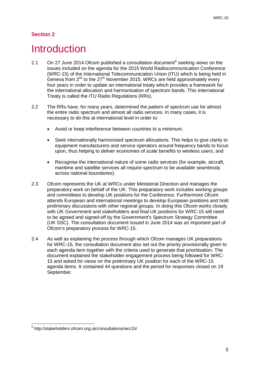## **Introduction**

- 2.1 On 27 June 2014 Ofcom published a consultation document<sup>[6](#page-7-0)</sup> seeking views on the issues included on the agenda for the 2015 World Radiocommunication Conference (WRC-15) of the International Telecommunication Union (ITU) which is being held in Geneva from  $2^{nd}$  to the  $27<sup>th</sup>$  November 2015. WRCs are held approximately every four years in order to update an international treaty which provides a framework for the international allocation and harmonisation of spectrum bands. This International Treaty is called the ITU Radio Regulations (RRs).
- 2.2 The RRs have, for many years, determined the pattern of spectrum use for almost the entire radio spectrum and almost all radio services. In many cases, it is necessary to do this at international level in order to:
	- Avoid or keep interference between countries to a minimum;
	- Seek internationally harmonised spectrum allocations. This helps to give clarity to equipment manufacturers and service operators around frequency bands to focus upon, thus helping to deliver economies of scale benefits to wireless users; and
	- Recognise the international nature of some radio services (for example, aircraft, maritime and satellite services all require spectrum to be available seamlessly across national boundaries).
- 2.3 Ofcom represents the UK at WRCs under Ministerial Direction and manages the preparatory work on behalf of the UK. This preparatory work includes working groups and committees to develop UK positions for the Conference. Furthermore Ofcom attends European and international meetings to develop European positions and hold preliminary discussions with other regional groups. In doing this Ofcom works closely with UK Government and stakeholders and final UK positions for WRC-15 will need to be agreed and signed-off by the Government's Spectrum Strategy Committee (UK SSC). The consultation document issued in June 2014 was an important part of Ofcom's preparatory process for WRC-15.
- 2.4 As well as explaining the process through which Ofcom manages UK preparations for WRC-15, the consultation document also set out the priority provisionally given to each agenda item together with the criteria used to generate that prioritisation. The document explained the stakeholder engagement process being followed for WRC-15 and asked for views on the preliminary UK position for each of the WRC-15 agenda items. It contained 44 questions and the period for responses closed on 19 September.

<span id="page-7-0"></span><sup>6</sup> http://stakeholders.ofcom.org.uk/consultations/wrc15/  $\overline{a}$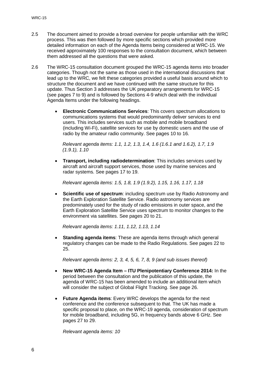- 2.5 The document aimed to provide a broad overview for people unfamiliar with the WRC process. This was then followed by more specific sections which provided more detailed information on each of the Agenda Items being considered at WRC-15. We received approximately 100 responses to the consultation document, which between them addressed all the questions that were asked.
- 2.6 The WRC-15 consultation document grouped the WRC-15 agenda items into broader categories. Though not the same as those used in the international discussions that lead up to the WRC, we felt these categories provided a useful basis around which to structure the document and we have continued with the same structure for this update. Thus Section 3 addresses the UK preparatory arrangements for WRC-15 (see pages 7 to 9) and is followed by Sections 4-9 which deal with the individual Agenda Items under the following headings.
	- **Electronic Communications Services**: This covers spectrum allocations to communications systems that would predominantly deliver services to end users. This includes services such as mobile and mobile broadband (including Wi-Fi), satellite services for use by domestic users and the use of radio by the amateur radio community. See pages 10 to 16.

*Relevant agenda items: 1.1, 1.2, 1.3, 1.4, 1.6 (1.6.1 and 1.6.2), 1.7, 1.9 (1.9.1), 1.10*

• **Transport, including radiodetermination**: This includes services used by aircraft and aircraft support services, those used by marine services and radar systems. See pages 17 to 19.

*Relevant agenda items: 1.5, 1.8, 1.9 (1.9.2), 1.15, 1.16, 1.17, 1.18*

**Scientific use of spectrum:** including spectrum use by Radio Astronomy and the Earth Exploration Satellite Service. Radio astronomy services are predominately used for the study of radio emissions in outer space, and the Earth Exploration Satellite Service uses spectrum to monitor changes to the environment via satellites. See pages 20 to 21.

*Relevant agenda items: 1.11, 1.12, 1.13, 1.14*

**Standing agenda items:** These are agenda items through which general regulatory changes can be made to the Radio Regulations. See pages 22 to 25.

*Relevant agenda items: 2, 3, 4, 5, 6, 7, 8, 9 (and sub issues thereof)*

- **New WRC-15 Agenda Item – ITU Plenipotentiary Conference 2014:** In the period between the consultation and the publication of this update, the agenda of WRC-15 has been amended to include an additional item which will consider the subject of Global Flight Tracking. See page 26.
- **Future Agenda items**: Every WRC develops the agenda for the next conference and the conference subsequent to that. The UK has made a specific proposal to place, on the WRC-19 agenda, consideration of spectrum for mobile broadband, including 5G, in frequency bands above 6 GHz. See pages 27 to 29.

*Relevant agenda items: 10*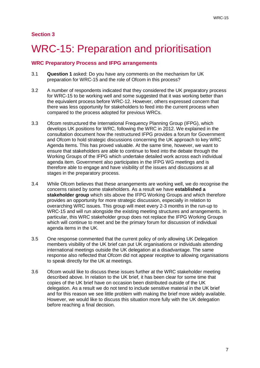# WRC-15: Preparation and prioritisation

#### **WRC Preparatory Process and IFPG arrangements**

- 3.1 **Question 1** asked: Do you have any comments on the mechanism for UK preparation for WRC-15 and the role of Ofcom in this process?
- 3.2 A number of respondents indicated that they considered the UK preparatory process for WRC-15 to be working well and some suggested that it was working better than the equivalent process before WRC-12. However, others expressed concern that there was less opportunity for stakeholders to feed into the current process when compared to the process adopted for previous WRCs.
- 3.3 Ofcom restructured the International Frequency Planning Group (IFPG), which develops UK positions for WRC, following the WRC in 2012. We explained in the consultation document how the restructured IFPG provides a forum for Government and Ofcom to hold strategic discussions concerning the UK approach to key WRC Agenda Items. This has proved valuable. At the same time, however, we want to ensure that stakeholders are able to continue to feed into the debate through the Working Groups of the IFPG which undertake detailed work across each individual agenda item. Government also participates in the IFPG WG meetings and is therefore able to engage and have visibility of the issues and discussions at all stages in the preparatory process.
- 3.4 While Ofcom believes that these arrangements are working well, we do recognise the concerns raised by some stakeholders. As a result we have **established a stakeholder group** which sits above the IFPG Working Groups and which therefore provides an opportunity for more strategic discussion, especially in relation to overarching WRC issues. This group will meet every 2-3 months in the run-up to WRC-15 and will run alongside the existing meeting structures and arrangements. In particular, this WRC stakeholder group does not replace the IFPG Working Groups which will continue to meet and be the primary forum for discussion of individual agenda items in the UK.
- 3.5 One response commented that the current policy of only allowing UK Delegation members visibility of the UK brief can put UK organisations or individuals attending international meetings outside the UK delegation at a disadvantage. The same response also reflected that Ofcom did not appear receptive to allowing organisations to speak directly for the UK at meetings.
- 3.6 Ofcom would like to discuss these issues further at the WRC stakeholder meeting described above. In relation to the UK brief, it has been clear for some time that copies of the UK brief have on occasion been distributed outside of the UK delegation. As a result we do not tend to include sensitive material in the UK brief and for this reason we see little problem with making the brief more widely available. However, we would like to discuss this situation more fully with the UK delegation before reaching a final decision.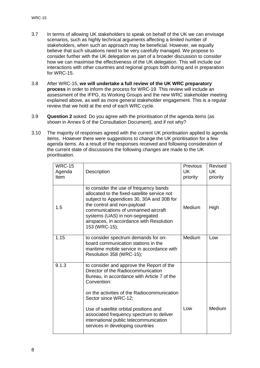- 3.7 In terms of allowing UK stakeholders to speak on behalf of the UK we can envisage scenarios, such as highly technical arguments affecting a limited number of stakeholders, when such an approach may be beneficial. However, we equally believe that such situations need to be very carefully managed. We propose to consider further with the UK delegation as part of a broader discussion to consider how we can maximise the effectiveness of the UK delegation. This will include our interactions with other countries and regional groups both during and in preparation for WRC-15.
- 3.8 After WRC-15, **we will undertake a full review of the UK WRC preparatory process** in order to inform the process for WRC-19. This review will include an assessment of the IFPG, its Working Groups and the new WRC stakeholder meeting explained above, as well as more general stakeholder engagement. This is a regular review that we hold at the end of each WRC cycle.
- 3.9 **Question 2** asked: Do you agree with the prioritisation of the agenda items (as shown in Annex 6 of the Consultation Document), and if not why?
- 3.10 The majority of responses agreed with the current UK prioritisation applied to agenda items. However there were suggestions to change the UK prioritisation for a few agenda items. As a result of the responses received and following consideration of the current state of discussions the following changes are made to the UK prioritisation.

| <b>WRC-15</b><br>Agenda<br>Item | Description                                                                                                                                                                                                                                                                                               | <b>Previous</b><br><b>UK</b><br>priority | Revised<br>UK<br>priority |
|---------------------------------|-----------------------------------------------------------------------------------------------------------------------------------------------------------------------------------------------------------------------------------------------------------------------------------------------------------|------------------------------------------|---------------------------|
| 1.5                             | to consider the use of frequency bands<br>allocated to the fixed-satellite service not<br>subject to Appendices 30, 30A and 30B for<br>the control and non-payload<br>communications of unmanned aircraft<br>systems (UAS) in non-segregated<br>airspaces, in accordance with Resolution<br>153 (WRC-15); | Medium                                   | High                      |
| 1.15                            | to consider spectrum demands for on-<br>board communication stations in the<br>maritime mobile service in accordance with<br>Resolution 358 (WRC-15);                                                                                                                                                     | Medium                                   | Low                       |
| 9.1.3                           | to consider and approve the Report of the<br>Director of the Radiocommunication<br>Bureau, in accordance with Article 7 of the<br>Convention:<br>on the activities of the Radiocommunication<br>Sector since WRC-12;                                                                                      |                                          |                           |
|                                 | Use of satellite orbital positions and<br>associated frequency spectrum to deliver<br>international public telecommunication<br>services in developing countries                                                                                                                                          | Low                                      | Medium                    |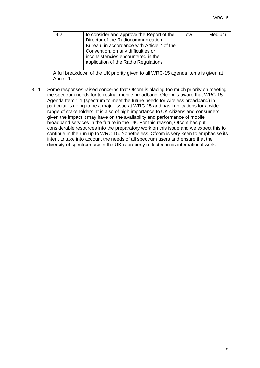| 9.2 | to consider and approve the Report of the   | Low | Medium |
|-----|---------------------------------------------|-----|--------|
|     | Director of the Radiocommunication          |     |        |
|     | Bureau, in accordance with Article 7 of the |     |        |
|     | Convention, on any difficulties or          |     |        |
|     | inconsistencies encountered in the          |     |        |
|     | application of the Radio Regulations        |     |        |
|     |                                             |     |        |

A full breakdown of the UK priority given to all WRC-15 agenda items is given at Annex 1.

3.11 Some responses raised concerns that Ofcom is placing too much priority on meeting the spectrum needs for terrestrial mobile broadband. Ofcom is aware that WRC-15 Agenda Item 1.1 (spectrum to meet the future needs for wireless broadband) in particular is going to be a major issue at WRC-15 and has implications for a wide range of stakeholders. It is also of high importance to UK citizens and consumers given the impact it may have on the availability and performance of mobile broadband services in the future in the UK. For this reason, Ofcom has put considerable resources into the preparatory work on this issue and we expect this to continue in the run-up to WRC-15. Nonetheless, Ofcom is very keen to emphasise its intent to take into account the needs of all spectrum users and ensure that the diversity of spectrum use in the UK is properly reflected in its international work.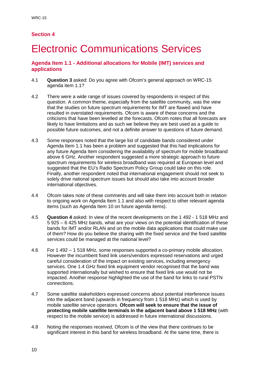# **Electronic Communications Services**

#### **Agenda Item 1.1 - Additional allocations for Mobile (IMT) services and applications**

- 4.1 **Question 3** asked: Do you agree with Ofcom's general approach on WRC-15 agenda item 1.1?
- 4.2 There were a wide range of issues covered by respondents in respect of this question. A common theme, especially from the satellite community, was the view that the studies on future spectrum requirements for IMT are flawed and have resulted in overstated requirements. Ofcom is aware of these concerns and the criticisms that have been levelled at the forecasts. Ofcom notes that all forecasts are likely to have limitations and as such we believe they are best used as a guide to possible future outcomes, and not a definite answer to questions of future demand.
- 4.3 Some responses noted that the large list of candidate bands considered under Agenda Item 1.1 has been a problem and suggested that this had implications for any future Agenda Item considering the availability of spectrum for mobile broadband above 6 GHz. Another respondent suggested a more strategic approach to future spectrum requirements for wireless broadband was required at European level and suggested that the EU's Radio Spectrum Policy Group could take on this role. Finally, another respondent noted that international engagement should not seek to solely drive national spectrum issues but should also take into account broader international objectives.
- 4.4 Ofcom takes note of these comments and will take them into account both in relation to ongoing work on Agenda Item 1.1 and also with respect to other relevant agenda items (such as Agenda Item 10 on future agenda items).
- 4.5 **Question 4** asked: In view of the recent developments on the 1 492 1 518 MHz and 5 925 – 6 425 MHz bands, what are your views on the potential identification of these bands for IMT and/or RLAN and on the mobile data applications that could make use of them? How do you believe the sharing with the fixed service and the fixed satellite services could be managed at the national level?
- 4.6 For 1 492 1 518 MHz, some responses supported a co-primary mobile allocation. However the incumbent fixed link users/vendors expressed reservations and urged careful consideration of the impact on existing services, including emergency services. One 1.4 GHz fixed link equipment vendor recognised that the band was supported internationally but wished to ensure that fixed link use would not be impacted. Another response highlighted the use of the band for links to rural PSTN connections.
- 4.7 Some satellite stakeholders expressed concerns about potential interference issues into the adjacent band (upwards in frequency from 1 518 MHz) which is used by mobile satellite service operators. **Ofcom will seek to ensure that the issue of protecting mobile satellite terminals in the adjacent band above 1 518 MHz** (with respect to the mobile service) is addressed in future international discussions.
- 4.8 Noting the responses received, Ofcom is of the view that there continues to be significant interest in this band for wireless broadband. At the same time, there is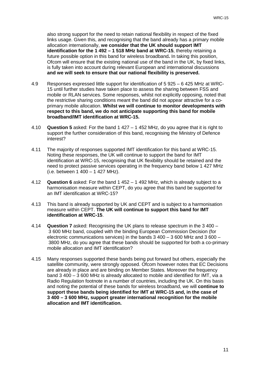also strong support for the need to retain national flexibility in respect of the fixed links usage. Given this, and recognising that the band already has a primary mobile allocation internationally, **we consider that the UK should support IMT identification for the 1 492 – 1 518 MHz band at WRC-15**, thereby retaining a future possible option in this band for wireless broadband**.** In taking this position, Ofcom will ensure that the existing national use of the band in the UK, by fixed links, is fully taken into account during relevant European and international discussions **and we will seek to ensure that our national flexibility is preserved.** 

- 4.9 Responses expressed little support for identification of 5 925 6 425 MHz at WRC-15 until further studies have taken place to assess the sharing between FSS and mobile or RLAN services. Some responses, whilst not explicitly opposing, noted that the restrictive sharing conditions meant the band did not appear attractive for a coprimary mobile allocation. **Whilst we will continue to monitor developments with respect to this band, we do not anticipate supporting this band for mobile broadband/IMT identification at WRC-15.**
- 4.10 **Question 5** asked: For the band 1 427 1 452 MHz, do you agree that it is right to support the further consideration of this band, recognising the Ministry of Defence interest?
- 4.11 The majority of responses supported IMT identification for this band at WRC-15. Noting these responses, the UK will continue to support the band for IMT identification at WRC-15, recognising that UK flexibility should be retained and the need to protect passive services operating in the frequency band below 1 427 MHz (i.e. between 1 400 – 1 427 MHz).
- 4.12 **Question 6** asked: For the band 1 452 1 492 MHz, which is already subject to a harmonisation measure within CEPT, do you agree that this band be supported for an IMT identification at WRC-15?
- 4.13 This band is already supported by UK and CEPT and is subject to a harmonisation measure within CEPT. **The UK will continue to support this band for IMT identification at WRC-15**.
- 4.14 **Question 7** asked: Recognising the UK plans to release spectrum in the 3 400 3 600 MHz band, coupled with the binding European Commission Decision (for electronic communications services) in the bands 3 400 – 3 600 MHz and 3 600 – 3800 MHz, do you agree that these bands should be supported for both a co-primary mobile allocation and IMT identification?
- 4.15 Many responses supported these bands being put forward but others, especially the satellite community, were strongly opposed. Ofcom however notes that EC Decisions are already in place and are binding on Member States. Moreover the frequency band 3 400 – 3 600 MHz is already allocated to mobile and identified for IMT, via a Radio Regulation footnote in a number of countries, including the UK. On this basis and noting the potential of these bands for wireless broadband, we will **continue to support these bands being identified for IMT at WRC-15 and, in the case of 3 400 – 3 600 MHz, support greater international recognition for the mobile allocation and IMT identification.**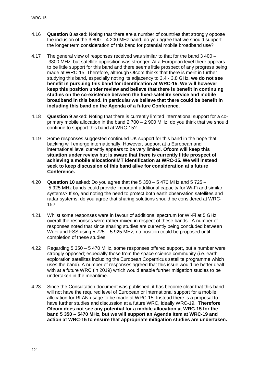- 4.16 **Question 8** asked: Noting that there are a number of countries that strongly oppose the inclusion of the 3 800 – 4 200 MHz band, do you agree that we should support the longer term consideration of this band for potential mobile broadband use?
- 4.17 The general view of responses received was similar to that for the band 3 400 3800 MHz, but satellite opposition was stronger. At a European level there appears to be little support for this band and there seems little prospect of any progress being made at WRC-15. Therefore, although Ofcom thinks that there is merit in further studying this band, especially noting its adjacency to 3.4 - 3.8 GHz, **we do not see benefit in pursuing this band for identification at WRC-15. We will however keep this position under review and believe that there is benefit in continuing studies on the co-existence between the fixed-satellite service and mobile broadband in this band. In particular we believe that there could be benefit in including this band on the Agenda of a future Conference.**
- 4.18 **Question 9** asked: Noting that there is currently limited international support for a coprimary mobile allocation in the band 2 700 – 2 900 MHz, do you think that we should continue to support this band at WRC-15?
- 4.19 Some responses suggested continued UK support for this band in the hope that backing will emerge internationally. However, support at a European and international level currently appears to be very limited. **Ofcom will keep this situation under review but is aware that there is currently little prospect of achieving a mobile allocation/IMT identification at WRC-15. We will instead seek to keep discussion of this band alive for consideration at a future Conference.**
- 4.20 **Question 10** asked: Do you agree that the 5 350 5 470 MHz and 5 725 5 925 MHz bands could provide important additional capacity for Wi-Fi and similar systems? If so, and noting the need to protect both earth observation satellites and radar systems, do you agree that sharing solutions should be considered at WRC-15?
- 4.21 Whilst some responses were in favour of additional spectrum for Wi-Fi at 5 GHz, overall the responses were rather mixed in respect of these bands. A number of responses noted that since sharing studies are currently being concluded between Wi-Fi and FSS using 5 725 – 5 925 MHz, no position could be proposed until completion of these studies.
- 4.22 Regarding 5 350 5 470 MHz, some responses offered support, but a number were strongly opposed; especially those from the space science community (i.e. earth exploration satellites including the European Copernicus satellite programme which uses the band). A number of responses agreed that this issue would be better dealt with at a future WRC (in 2019) which would enable further mitigation studies to be undertaken in the meantime.
- 4.23 Since the Consultation document was published, it has become clear that this band will not have the required level of European or International support for a mobile allocation for RLAN usage to be made at WRC-15. Instead there is a proposal to have further studies and discussion at a future WRC, ideally WRC-19. **Therefore Ofcom does not see any potential for a mobile allocation at WRC-15 for the band 5 350 – 5470 MHz, but we will support an Agenda Item at WRC-19 and action at WRC-15 to ensure that appropriate mitigation studies are undertaken.**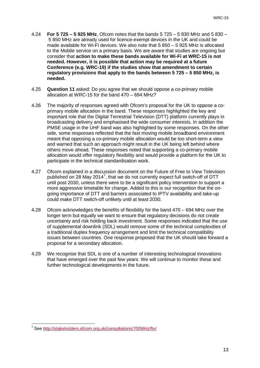- 4.24 **For 5 725 – 5 925 MHz**, Ofcom notes that the bands 5 725 5 830 MHz and 5 830 5 850 MHz are already used for licence-exempt devices in the UK and could be made available for Wi-Fi devices. We also note that 5 850 – 5 925 MHz is allocated to the Mobile service on a primary basis. We are aware that studies are ongoing but consider that **action to make these bands available for Wi-Fi at WRC-15 is not needed. However, it is possible that action may be required at a future Conference (e.g. WRC-19) if the studies show that amendment to certain regulatory provisions that apply to the bands between 5 725 – 5 850 MHz, is needed.**
- 4.25 **Question 11** asked: Do you agree that we should oppose a co-primary mobile allocation at WRC-15 for the band 470 – 694 MHz?
- 4.26 The majority of responses agreed with Ofcom's proposal for the UK to oppose a coprimary mobile allocation in the band. These responses highlighted the key and important role that the Digital Terrestrial Television (DTT) platform currently plays in broadcasting delivery and emphasised the wide consumer interests. In addition the PMSE usage in the UHF band was also highlighted by some responses. On the other side, some responses reflected that the fast moving mobile broadband environment meant that opposing a co-primary mobile allocation would be too short-term a view and warned that such an approach might result in the UK being left behind where others move ahead. These responses noted that supporting a co-primary mobile allocation would offer regulatory flexibility and would provide a platform for the UK to participate in the technical standardisation work.
- 4.27 Ofcom explained in a discussion document on the Future of Free to View Television published on 28 May 2014<sup>[7](#page-15-0)</sup>, that we do not currently expect full switch-off of DTT until post 2030, unless there were to be a significant policy intervention to support a more aggressive timetable for change. Added to this is our recognition that the ongoing importance of DTT and barriers associated to IPTV availability and take-up could make DTT switch-off unlikely until at least 2030.
- 4.28 Ofcom acknowledges the benefits of flexibility for the band 470 694 MHz over the longer term but equally we want to ensure that regulatory decisions do not create uncertainty and risk holding back investment. Some responses indicated that the use of supplemental downlink (SDL) would remove some of the technical complexities of a traditional duplex frequency arrangement and limit the technical compatibility issues between countries. One response proposed that the UK should take forward a proposal for a secondary allocation.
- 4.29 We recognise that SDL is one of a number of interesting technological innovations that have emerged over the past few years. We will continue to monitor these and further technological developments in the future.

<span id="page-15-0"></span><sup>&</sup>lt;sup>7</sup> See<http://stakeholders.ofcom.org.uk/consultations/700MHz/ftv/>  $\overline{a}$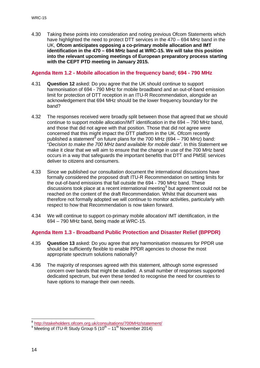4.30 Taking these points into consideration and noting previous Ofcom Statements which have highlighted the need to protect DTT services in the 470 – 694 MHz band in the UK, **Ofcom anticipates opposing a co-primary mobile allocation and IMT identification in the 470 – 694 MHz band at WRC-15. We will take this position into the relevant upcoming meetings of European preparatory process starting with the CEPT PTD meeting in January 2015.**

### **Agenda Item 1.2 - Mobile allocation in the frequency band; 694 - 790 MHz**

- 4.31 **Question 12** asked: Do you agree that the UK should continue to support harmonisation of 694 - 790 MHz for mobile broadband and an out-of-band emission limit for protection of DTT reception in an ITU-R Recommendation, alongside an acknowledgement that 694 MHz should be the lower frequency boundary for the band?
- 4.32 The responses received were broadly split between those that agreed that we should continue to support mobile allocation/IMT identification in the 694 – 790 MHz band, and those that did not agree with that position. Those that did not agree were concerned that this might impact the DTT platform in the UK. Ofcom recently published a statement<sup>[8](#page-16-0)</sup> on future plans for the 700 MHz (694 – 790 MHz) band: "*Decision to make the 700 MHz band available for mobile data*". In this Statement we make it clear that we will aim to ensure that the change in use of the 700 MHz band occurs in a way that safeguards the important benefits that DTT and PMSE services deliver to citizens and consumers.
- 4.33 Since we published our consultation document the international discussions have formally considered the proposed draft ITU-R Recommendation on setting limits for the out-of-band emissions that fall outside the 694 - 790 MHz band. These discussions took place at a recent international meeting<sup>[9](#page-16-1)</sup> but agreement could not be reached on the content of the draft Recommendation. Whilst that document was therefore not formally adopted we will continue to monitor activities, particularly with respect to how that Recommendation is now taken forward.
- 4.34 We will continue to support co-primary mobile allocation/ IMT identification, in the 694 – 790 MHz band, being made at WRC-15.

#### **Agenda Item 1.3 - Broadband Public Protection and Disaster Relief (BPPDR)**

- 4.35 **Question 13** asked: Do you agree that any harmonisation measures for PPDR use should be sufficiently flexible to enable PPDR agencies to choose the most appropriate spectrum solutions nationally?
- 4.36 The majority of responses agreed with this statement, although some expressed concern over bands that might be studied. A small number of responses supported dedicated spectrum, but even these tended to recognise the need for countries to have options to manage their own needs.

 $\overline{a}$ 

<sup>8</sup> <http://stakeholders.ofcom.org.uk/consultations/700MHz/statement/>

<span id="page-16-1"></span><span id="page-16-0"></span> $9 \frac{\text{Mept} \times \text{MeV}}{\text{Meetina of ITU-R Study Group 5 (10<sup>th</sup> – 11<sup>th</sup> November 2014)}$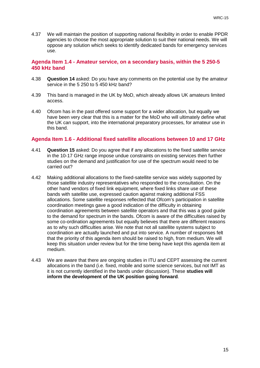4.37 We will maintain the position of supporting national flexibility in order to enable PPDR agencies to choose the most appropriate solution to suit their national needs. We will oppose any solution which seeks to identify dedicated bands for emergency services use.

#### **Agenda Item 1.4 - Amateur service, on a secondary basis, within the 5 250-5 450 kHz band**

- 4.38 **Question 14** asked: Do you have any comments on the potential use by the amateur service in the 5 250 to 5 450 kHz band?
- 4.39 This band is managed in the UK by MoD, which already allows UK amateurs limited access.
- 4.40 Ofcom has in the past offered some support for a wider allocation, but equally we have been very clear that this is a matter for the MoD who will ultimately define what the UK can support, into the international preparatory processes, for amateur use in this band.

#### **Agenda Item 1.6 - Additional fixed satellite allocations between 10 and 17 GHz**

- 4.41 **Question 15** asked: Do you agree that if any allocations to the fixed satellite service in the 10-17 GHz range impose undue constraints on existing services then further studies on the demand and justification for use of the spectrum would need to be carried out?
- 4.42 Making additional allocations to the fixed-satellite service was widely supported by those satellite industry representatives who responded to the consultation. On the other hand vendors of fixed link equipment, where fixed links share use of these bands with satellite use, expressed caution against making additional FSS allocations. Some satellite responses reflected that Ofcom's participation in satellite coordination meetings gave a good indication of the difficulty in obtaining coordination agreements between satellite operators and that this was a good guide to the demand for spectrum in the bands. Ofcom is aware of the difficulties raised by some co-ordination agreements but equally believes that there are different reasons as to why such difficulties arise. We note that not all satellite systems subject to coordination are actually launched and put into service. A number of responses felt that the priority of this agenda item should be raised to high, from medium. We will keep this situation under review but for the time being have kept this agenda item at medium.
- 4.43 We are aware that there are ongoing studies in ITU and CEPT assessing the current allocations in the band (i.e. fixed, mobile and some science services, but not IMT as it is not currently identified in the bands under discussion). These **studies will inform the development of the UK position going forward**.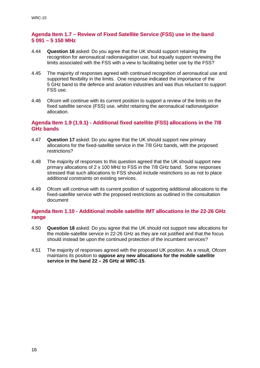#### **Agenda Item 1.7 – Review of Fixed Satellite Service (FSS) use in the band 5 091 – 5 150 MHz**

- 4.44 **Question 16** asked: Do you agree that the UK should support retaining the recognition for aeronautical radionavigation use, but equally support reviewing the limits associated with the FSS with a view to facilitating better use by the FSS?
- 4.45 The majority of responses agreed with continued recognition of aeronautical use and supported flexibility in the limits. One response indicated the importance of the 5 GHz band to the defence and aviation industries and was thus reluctant to support FSS use.
- 4.46 Ofcom will continue with its current position to support a review of the limits on the fixed satellite service (FSS) use, whilst retaining the aeronautical radionavigation allocation.

#### **Agenda Item 1.9 (1.9.1) - Additional fixed satellite (FSS) allocations in the 7/8 GHz bands**

- 4.47 **Question 17** asked: Do you agree that the UK should support new primary allocations for the fixed-satellite service in the 7/8 GHz bands, with the proposed restrictions?
- 4.48 The majority of responses to this question agreed that the UK should support new primary allocations of 2 x 100 MHz to FSS in the 7/8 GHz band. Some responses stressed that such allocations to FSS should include restrictions so as not to place additional constraints on existing services.
- 4.49 Ofcom will continue with its current position of supporting additional allocations to the fixed-satellite service with the proposed restrictions as outlined in the consultation document

### **Agenda Item 1.10 - Additional mobile satellite IMT allocations in the 22-26 GHz range**

- 4.50 **Question 18** asked: Do you agree that the UK should not support new allocations for the mobile-satellite service in 22-26 GHz as they are not justified and that the focus should instead be upon the continued protection of the incumbent services?
- 4.51 The majority of responses agreed with the proposed UK position. As a result, Ofcom maintains its position to **oppose any new allocations for the mobile satellite service in the band 22 – 26 GHz at WRC-15**.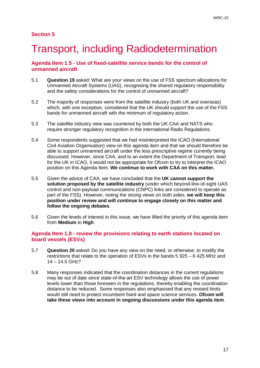# 5 Transport, including Radiodetermination

### **Agenda Item 1.5 - Use of fixed-satellite service bands for the control of unmanned aircraft**

- 5.1 **Question 19** asked: What are your views on the use of FSS spectrum allocations for Unmanned Aircraft Systems (UAS), recognising the shared regulatory responsibility and the safety considerations for the control of unmanned aircraft?
- 5.2 The majority of responses were from the satellite industry (both UK and overseas) which, with one exception, considered that the UK should support the use of the FSS bands for unmanned aircraft with the minimum of regulatory action.
- 5.3 The satellite industry view was countered by both the UK CAA and NATS who require stronger regulatory recognition in the international Radio Regulations.
- 5.4 Some respondents suggested that we had misinterpreted the ICAO (International Civil Aviation Organisation) view on this agenda item and that we should therefore be able to support unmanned aircraft under the less prescriptive regime currently being discussed. However, since CAA, and to an extent the Department of Transport, lead for the UK in ICAO, it would not be appropriate for Ofcom to try to interpret the ICAO position on this Agenda Item. **We continue to work with CAA on this matter.**
- 5.5 Given the advice of CAA, we have concluded that the **UK cannot support the solution proposed by the satellite industry** (under which beyond-line-of-sight UAS control and non-payload communications (CNPC) links are considered to operate as part of the FSS). However, noting the strong views on both sides, **we will keep this position under review and will continue to engage closely on this matter and follow the ongoing debates**.
- 5.6 Given the levels of interest in this issue, we have lifted the priority of this agenda item from **Medium** to **High**.

#### **Agenda Item 1.8 - review the provisions relating to earth stations located on board vessels (ESVs)**

- 5.7 **Question 20** asked: Do you have any view on the need, or otherwise, to modify the restrictions that relate to the operation of ESVs in the bands 5 925 – 6 425 MHz and 14 – 14.5 GHz?
- 5.8 Many responses indicated that the coordination distances in the current regulations may be out of date since state-of-the-art ESV technology allows the use of power levels lower than those foreseen in the regulations, thereby enabling the coordination distance to be reduced. Some responses also emphasised that any revised limits would still need to protect incumbent fixed and space science services. **Ofcom will take these views into account in ongoing discussions under this agenda item**.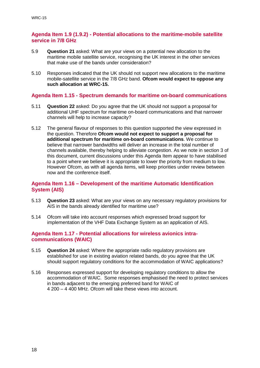#### **Agenda Item 1.9 (1.9.2) - Potential allocations to the maritime-mobile satellite service in 7/8 GHz**

- 5.9 **Question 21** asked: What are your views on a potential new allocation to the maritime mobile satellite service, recognising the UK interest in the other services that make use of the bands under consideration?
- 5.10 Responses indicated that the UK should not support new allocations to the maritime mobile-satellite service in the 7/8 GHz band. **Ofcom would expect to oppose any such allocation at WRC-15.**

#### **Agenda Item 1.15 - Spectrum demands for maritime on-board communications**

- 5.11 **Question 22** asked: Do you agree that the UK should not support a proposal for additional UHF spectrum for maritime on-board communications and that narrower channels will help to increase capacity?
- 5.12 The general flavour of responses to this question supported the view expressed in the question. Therefore **Ofcom would not expect to support a proposal for additional spectrum for maritime on-board communications**. We continue to believe that narrower bandwidths will deliver an increase in the total number of channels available, thereby helping to alleviate congestion. As we note in section 3 of this document, current discussions under this Agenda Item appear to have stabilised to a point where we believe it is appropriate to lower the priority from medium to low. However Ofcom, as with all agenda items, will keep priorities under review between now and the conference itself.

#### **Agenda Item 1.16 – Development of the maritime Automatic Identification System (AIS)**

- 5.13 **Question 23** asked: What are your views on any necessary regulatory provisions for AIS in the bands already identified for maritime use?
- 5.14 Ofcom will take into account responses which expressed broad support for implementation of the VHF Data Exchange System as an application of AIS.

#### **Agenda Item 1.17 - Potential allocations for wireless avionics intracommunications (WAIC)**

- 5.15 **Question 24** asked: Where the appropriate radio regulatory provisions are established for use in existing aviation related bands, do you agree that the UK should support regulatory conditions for the accommodation of WAIC applications?
- 5.16 Responses expressed support for developing regulatory conditions to allow the accommodation of WAIC. Some responses emphasised the need to protect services in bands adjacent to the emerging preferred band for WAIC of 4 200 – 4 400 MHz. Ofcom will take these views into account.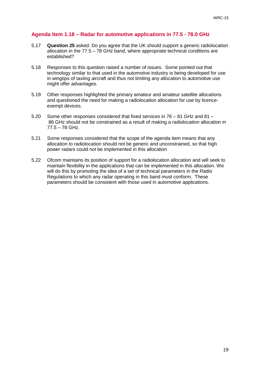### **Agenda Item 1.18 – Radar for automotive applications in 77.5 - 78.0 GHz**

- 5.17 **Question 25** asked: Do you agree that the UK should support a generic radiolocation allocation in the 77.5 – 78 GHz band, where appropriate technical conditions are established?
- 5.18 Responses to this question raised a number of issues. Some pointed out that technology similar to that used in the automotive industry is being developed for use in wingtips of taxiing aircraft and thus not limiting any allocation to automotive use might offer advantages.
- 5.19 Other responses highlighted the primary amateur and amateur satellite allocations and questioned the need for making a radiolocation allocation for use by licenceexempt devices.
- 5.20 Some other responses considered that fixed services in 76 81 GHz and 81 86 GHz should not be constrained as a result of making a radiolocation allocation in 77.5 – 78 GHz.
- 5.21 Some responses considered that the scope of the agenda item means that any allocation to radiolocation should not be generic and unconstrained, so that high power radars could not be implemented in this allocation
- 5.22 Ofcom maintains its position of support for a radiolocation allocation and will seek to maintain flexibility in the applications that can be implemented in this allocation. We will do this by promoting the idea of a set of technical parameters in the Radio Regulations to which any radar operating in this band must conform. These parameters should be consistent with those used in automotive applications.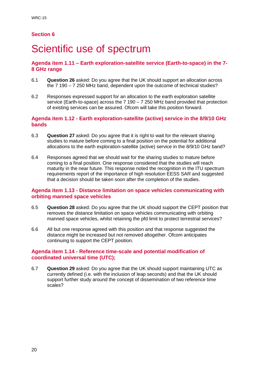## Scientific use of spectrum

#### **Agenda item 1.11 – Earth exploration-satellite service (Earth-to-space) in the 7- 8 GHz range**

- 6.1 **Question 26** asked: Do you agree that the UK should support an allocation across the 7 190 – 7 250 MHz band, dependent upon the outcome of technical studies?
- 6.2 Responses expressed support for an allocation to the earth exploration satellite service (Earth-to-space) across the 7 190 – 7 250 MHz band provided that protection of existing services can be assured. Ofcom will take this position forward.

#### **Agenda item 1.12 - Earth exploration-satellite (active) service in the 8/9/10 GHz bands**

- 6.3 **Question 27** asked: Do you agree that it is right to wait for the relevant sharing studies to mature before coming to a final position on the potential for additional allocations to the earth exploration-satellite (active) service in the 8/9/10 GHz band?
- 6.4 Responses agreed that we should wait for the sharing studies to mature before coming to a final position. One response considered that the studies will reach maturity in the near future. This response noted the recognition in the ITU spectrum requirements report of the importance of high resolution EESS SAR and suggested that a decision should be taken soon after the completion of the studies.

#### **Agenda item 1.13 - Distance limitation on space vehicles communicating with orbiting manned space vehicles**

- 6.5 **Question 28** asked: Do you agree that the UK should support the CEPT position that removes the distance limitation on space vehicles communicating with orbiting manned space vehicles, whilst retaining the pfd limit to protect terrestrial services?
- 6.6 All but one response agreed with this position and that response suggested the distance might be increased but not removed altogether. Ofcom anticipates continuing to support the CEPT position.

#### **Agenda item 1.14 - Reference time-scale and potential modification of coordinated universal time (UTC);**

6.7 **Question 29** asked: Do you agree that the UK should support maintaining UTC as currently defined (i.e. with the inclusion of leap seconds) and that the UK should support further study around the concept of dissemination of two reference time scales?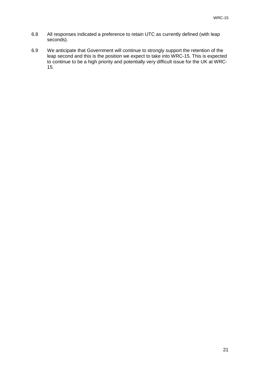- 6.8 All responses indicated a preference to retain UTC as currently defined (with leap seconds).
- 6.9 We anticipate that Government will continue to strongly support the retention of the leap second and this is the position we expect to take into WRC-15. This is expected to continue to be a high priority and potentially very difficult issue for the UK at WRC-15.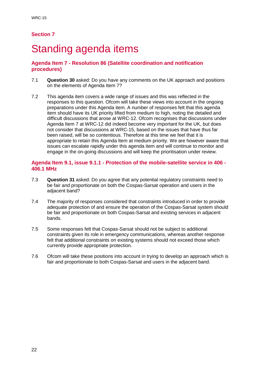## Standing agenda items

### **Agenda Item 7 - Resolution 86 (Satellite coordination and notification procedures)**

- 7.1 **Question 30** asked: Do you have any comments on the UK approach and positions on the elements of Agenda Item 7?
- 7.2 This agenda item covers a wide range of issues and this was reflected in the responses to this question. Ofcom will take these views into account in the ongoing preparations under this Agenda item. A number of responses felt that this agenda item should have its UK priority lifted from medium to high, noting the detailed and difficult discussions that arose at WRC-12. Ofcom recognises that discussions under Agenda Item 7 at WRC-12 did indeed become very important for the UK, but does not consider that discussions at WRC-15, based on the issues that have thus far been raised, will be so contentious. Therefore at this time we feel that it is appropriate to retain this Agenda Item at medium priority. We are however aware that issues can escalate rapidly under this agenda item and will continue to monitor and engage in the on-going discussions and will keep the prioritisation under review.

#### **Agenda Item 9.1, issue 9.1.1 - Protection of the mobile-satellite service in 406 - 406.1 MHz**

- 7.3 **Question 31** asked: Do you agree that any potential regulatory constraints need to be fair and proportionate on both the Cospas-Sarsat operation and users in the adjacent band?
- 7.4 The majority of responses considered that constraints introduced in order to provide adequate protection of and ensure the operation of the Cospas-Sarsat system should be fair and proportionate on both Cospas-Sarsat and existing services in adjacent bands.
- 7.5 Some responses felt that Cospas-Sarsat should not be subject to additional constraints given its role in emergency communications, whereas another response felt that additional constraints on existing systems should not exceed those which currently provide appropriate protection.
- 7.6 Ofcom will take these positions into account in trying to develop an approach which is fair and proportionate to both Cospas-Sarsat and users in the adjacent band.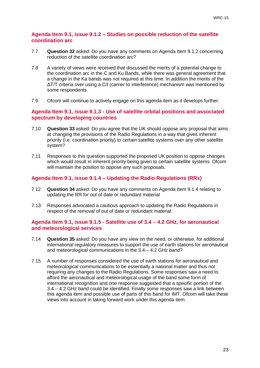#### **Agenda Item 9.1, issue 9.1.2 – Studies on possible reduction of the satellite coordination arc**

- 7.7 **Question 32** asked: Do you have any comments on Agenda Item 9.1.2 concerning reduction of the satellite coordination arc?
- 7.8 A variety of views were received that discussed the merits of a potential change to the coordination arc in the C and Ku Bands, while there was general agreement that a change in the Ka bands was not required at this time. In addition the merits of the ΔT/T criteria over using a C/I (carrier to interference) mechanism was mentioned by some respondents.
- 7.9 Ofcom will continue to actively engage on this agenda item as it develops further.

#### **Agenda Item 9.1, issue 9.1.3 - Use of satellite orbital positions and associated spectrum by developing countries**

- 7.10 **Question 33** asked: Do you agree that the UK should oppose any proposal that aims at changing the provisions of the Radio Regulations in a way that gives inherent priority (i.e. coordination priority) to certain satellite systems over any other satellite system?
- 7.11 Responses to this question supported the proposed UK position to oppose changes which would result in inherent priority being given to certain satellite systems. Ofcom will maintain the position to oppose any such proposals.

### **Agenda Item 9.1, issue 9.1.4 – Updating the Radio Regulations (RRs)**

- 7.12 **Question 34** asked: Do you have any comments on Agenda Item 9.1.4 relating to updating the RR for out of date or redundant material
- 7.13 Responses advocated a cautious approach to updating the Radio Regulations in respect of the removal of out of date or redundant material.

#### **Agenda Item 9.1, issue 9.1.5 - Satellite use of 3.4 – 4.2 GHz, for aeronautical and meteorological services**

- 7.14 **Question 35** asked: Do you have any view on the need, or otherwise, for additional international regulatory measures to support the use of earth stations for aeronautical and meteorological communications in the 3.4 – 4.2 GHz band?
- 7.15 A number of responses considered the use of earth stations for aeronautical and meteorological communications to be essentially a national matter and thus not requiring any changes to the Radio Regulations. Some responses saw a need to afford the aeronautical and meteorological usage of the band some form of international recognition and one response suggested that a specific portion of the 3.4 – 4.2 GHz band could be identified. Finally some responses saw a link between this agenda item and possible use of parts of this band for IMT. Ofcom will take these views into account in taking forward work under this agenda item.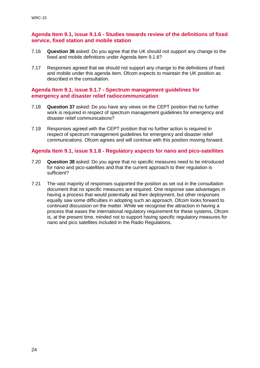#### **Agenda Item 9.1, issue 9.1.6 - Studies towards review of the definitions of fixed service, fixed station and mobile station**

- 7.16 **Question 36** asked: Do you agree that the UK should not support any change to the fixed and mobile definitions under Agenda Item 9.1.6?
- 7.17 Responses agreed that we should not support any change to the definitions of fixed and mobile under this agenda item. Ofcom expects to maintain the UK position as described in the consultation.

#### **Agenda Item 9.1, issue 9.1.7 - Spectrum management guidelines for emergency and disaster relief radiocommunication**

- 7.18 **Question 37** asked: Do you have any views on the CEPT position that no further work is required in respect of spectrum management guidelines for emergency and disaster relief communications?
- 7.19 Responses agreed with the CEPT position that no further action is required in respect of spectrum management guidelines for emergency and disaster relief communications. Ofcom agrees and will continue with this position moving forward.

#### **Agenda Item 9.1, issue 9.1.8 - Regulatory aspects for nano and pico-satellites**

- 7.20 **Question 38** asked: Do you agree that no specific measures need to be introduced for nano and pico-satellites and that the current approach to their regulation is sufficient?
- 7.21 The vast majority of responses supported the position as set out in the consultation document that no specific measures are required. One response saw advantages in having a process that would potentially aid their deployment, but other responses equally saw some difficulties in adopting such an approach. Ofcom looks forward to continued discussion on the matter. While we recognise the attraction in having a process that eases the international regulatory requirement for these systems, Ofcom is, at the present time, minded not to support having specific regulatory measures for nano and pico satellites included in the Radio Regulations.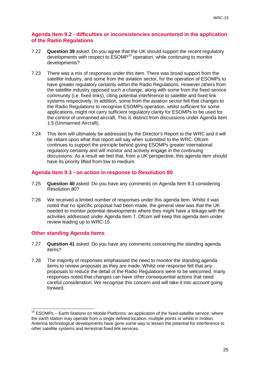#### **Agenda Item 9.2 - difficulties or inconsistencies encountered in the application of the Radio Regulations**

- 7.22 **Question 39** asked: Do you agree that the UK should support the recent regulatory developments with respect to ESOMP*[10](#page-27-0)* operation, while continuing to monitor developments?
- 7.23 There was a mix of responses under this item. There was broad support from the satellite industry, and some from the aviation sector, for the operation of ESOMPs to have greater regulatory certainty within the Radio Regulations. However others from the satellite industry opposed such a change, along with some from the fixed service community (i.e. fixed links), citing potential interference to satellite and fixed link systems respectively. In addition, some from the aviation sector felt that changes to the Radio Regulations to recognise ESOMPs operation, whilst sufficient for some applications, might not carry sufficient regulatory clarity for ESOMPs to be used for the control of unmanned aircraft. This is distinct from discussions under Agenda Item 1.5 (Unmanned Aircraft).
- 7.24 This item will ultimately be addressed by the Director's Report to the WRC and it will be reliant upon what that report will say when submitted to the WRC. Ofcom continues to support the principle behind giving ESOMPs greater international regulatory certainty and will monitor and actively engage in the continuing discussions. As a result we feel that, from a UK perspective, this agenda item should have its priority lifted from low to medium.

### **Agenda Item 9.3 - on action in response to Resolution 80**

- 7.25 **Question 40** asked: Do you have any comments on Agenda Item 9.3 considering Resolution 80?
- 7.26 We received a limited number of responses under this agenda item. Whilst it was noted that no specific proposal had been made, the general view was that the UK needed to monitor potential developments where they might have a linkage with the activities addressed under Agenda Item 7. Ofcom will keep this agenda item under review leading up to WRC-15.

#### **Other standing Agenda items**

- 7.27 **Question 41** asked: Do you have any comments concerning the standing agenda items?
- 7.28 The majority of responses emphasised the need to monitor the standing agenda items to review proposals as they are made. Whilst one response felt that any proposals to reduce the detail of the Radio Regulations were to be welcomed, many responses noted that changes can have other consequential actions that need careful consideration. We recognise this concern and will take it into account going forward.

<span id="page-27-0"></span> $10$  ESOMPs – Earth Stations on Mobile Platforms: an application of the fixed-satellite service, where the earth station may operate from a single defined location, multiple points or whilst in motion. Antenna technological developments have gone some way to lessen the potential for interference to other satellite systems and terrestrial fixed link services.  $\overline{a}$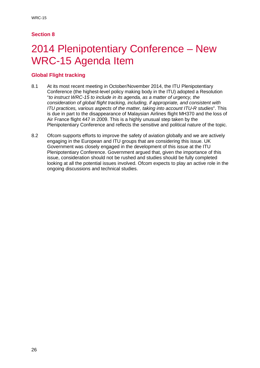# 2014 Plenipotentiary Conference – New WRC-15 Agenda Item

### **Global Flight tracking**

- 8.1 At its most recent meeting in October/November 2014, the ITU Plenipotentiary Conference (the highest-level policy making body in the ITU) adopted a Resolution "*to instruct WRC-15 to include in its agenda, as a matter of urgency, the consideration of global flight tracking, including, if appropriate, and consistent with ITU practices, various aspects of the matter, taking into account ITU-R studies*". This is due in part to the disappearance of Malaysian Airlines flight MH370 and the loss of Air France flight 447 in 2009. This is a highly unusual step taken by the Plenipotentiary Conference and reflects the sensitive and political nature of the topic.
- 8.2 Ofcom supports efforts to improve the safety of aviation globally and we are actively engaging in the European and ITU groups that are considering this issue. UK Government was closely engaged in the development of this issue at the ITU Plenipotentiary Conference. Government argued that, given the importance of this issue, consideration should not be rushed and studies should be fully completed looking at all the potential issues involved. Ofcom expects to play an active role in the ongoing discussions and technical studies.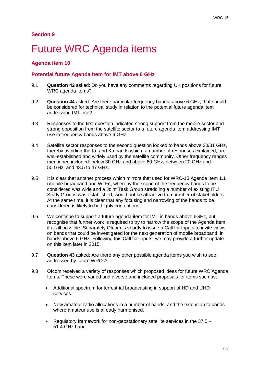## **Future WRC Agenda items**

### **Agenda item 10**

### **Potential future Agenda Item for IMT above 6 GHz**

- 9.1 **Question 42** asked: Do you have any comments regarding UK positions for future WRC agenda items?
- 9.2 **Question 44** asked: Are there particular frequency bands, above 6 GHz, that should be considered for technical study in relation to the potential future agenda item addressing IMT use?
- 9.3 Responses to the first question indicated strong support from the mobile sector and strong opposition from the satellite sector to a future agenda item addressing IMT use in frequency bands above 6 GHz.
- 9.4 Satellite sector responses to the second question looked to bands above 30/31 GHz, thereby avoiding the Ku and Ka bands which, a number of responses explained, are well-established and widely used by the satellite community. Other frequency ranges mentioned included: below 30 GHz and above 60 GHz, between 20 GHz and 50 GHz, and 43.5 to 47 GHz.
- 9.5 It is clear that another process which mirrors that used for WRC-15 Agenda Item 1.1 (mobile broadband and Wi-Fi), whereby the scope of the frequency bands to be considered was wide and a Joint Task Group straddling a number of existing ITU Study Groups was established, would not be attractive to a number of stakeholders. At the same time, it is clear that any focusing and narrowing of the bands to be considered is likely to be highly contentious.
- 9.6 We continue to support a future agenda item for IMT in bands above 6GHz, but recognise that further work is required to try to narrow the scope of the Agenda Item if at all possible. Separately Ofcom is shortly to issue a Call for Inputs to invite views on bands that could be investigated for the next generation of mobile broadband, in bands above 6 GHz. Following this Call for Inputs, we may provide a further update on this item later in 2015.
- 9.7 **Question 43** asked: Are there any other possible agenda items you wish to see addressed by future WRCs?
- 9.8 Ofcom received a variety of responses which proposed ideas for future WRC Agenda Items. These were varied and diverse and included proposals for items such as;
	- Additional spectrum for terrestrial broadcasting in support of HD and UHD services.
	- New amateur radio allocations in a number of bands, and the extension to bands where amateur use is already harmonised.
	- Regulatory framework for non-geostationary satellite services in the  $37.5 -$ 51.4 GHz band.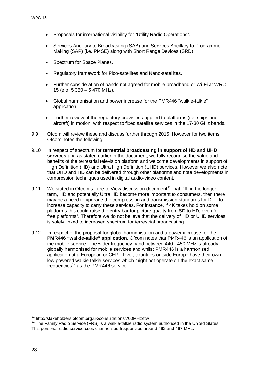- Proposals for international visibility for "Utility Radio Operations".
- Services Ancillary to Broadcasting (SAB) and Services Ancillary to Programme Making (SAP) (i.e. PMSE) along with Short Range Devices (SRD).
- Spectrum for Space Planes.
- Regulatory framework for Pico-satellites and Nano-satellites.
- Further consideration of bands not agreed for mobile broadband or Wi-Fi at WRC-15 (e.g. 5 350 – 5 470 MHz).
- Global harmonisation and power increase for the PMR446 "walkie-talkie" application.
- Further review of the regulatory provisions applied to platforms (i.e. ships and aircraft) in motion, with respect to fixed satellite services in the 17-30 GHz bands.
- 9.9 Ofcom will review these and discuss further through 2015. However for two items Ofcom notes the following.
- 9.10 In respect of spectrum for **terrestrial broadcasting in support of HD and UHD services** and as stated earlier in the document, we fully recognise the value and benefits of the terrestrial television platform and welcome developments in support of High Definition (HD) and Ultra High Definition (UHD) services. However we also note that UHD and HD can be delivered through other platforms and note developments in compression techniques used in digital audio-video content.
- 9.[11](#page-30-0) We stated in Ofcom's Free to View discussion document<sup>11</sup> that; "If, in the longer term, HD and potentially Ultra HD become more important to consumers, then there may be a need to upgrade the compression and transmission standards for DTT to increase capacity to carry these services. For instance, if 4K takes hold on some platforms this could raise the entry bar for picture quality from SD to HD, even for free platforms". Therefore we do not believe that the delivery of HD or UHD services is solely linked to increased spectrum for terrestrial broadcasting.
- 9.12 In respect of the proposal for global harmonisation and a power increase for the **PMR446 "walkie-talkie" application**, Ofcom notes that PMR446 is an application of the mobile service. The wider frequency band between 440 - 450 MHz is already globally harmonised for mobile services and whilst PMR446 is a harmonised application at a European or CEPT level, countries outside Europe have their own low powered walkie talkie services which might not operate on the exact same frequencies<sup>[12](#page-30-1)</sup> as the PMR446 service.

<sup>&</sup>lt;sup>11</sup> http://stakeholders.ofcom.org.uk/consultations/700MHz/ftv/

<span id="page-30-1"></span><span id="page-30-0"></span> $12$  The Family Radio Service (FRS) is a walkie-talkie radio system authorised in the United States. This personal radio service uses channelised frequencies around 462 and 467 MHz.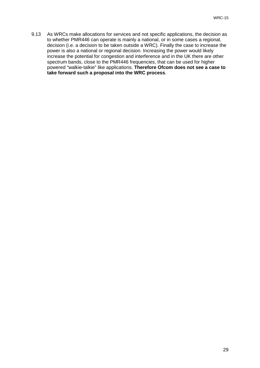9.13 As WRCs make allocations for services and not specific applications, the decision as to whether PMR446 can operate is mainly a national, or in some cases a regional, decision (i.e. a decision to be taken outside a WRC). Finally the case to increase the power is also a national or regional decision. Increasing the power would likely increase the potential for congestion and interference and in the UK there are other spectrum bands, close to the PMR446 frequencies, that can be used for higher powered "walkie-talkie" like applications. **Therefore Ofcom does not see a case to take forward such a proposal into the WRC process**.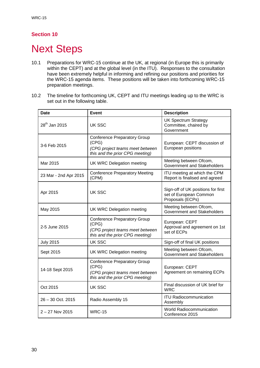# **Next Steps**

- 10.1 Preparations for WRC-15 continue at the UK, at regional (in Europe this is primarily within the CEPT) and at the global level (in the ITU). Responses to the consultation have been extremely helpful in informing and refining our positions and priorities for the WRC-15 agenda items. These positions will be taken into forthcoming WRC-15 preparation meetings.
- 10.2 The timeline for forthcoming UK, CEPT and ITU meetings leading up to the WRC is set out in the following table.

| Date                      | <b>Event</b>                                                                                                       | <b>Description</b>                                                               |
|---------------------------|--------------------------------------------------------------------------------------------------------------------|----------------------------------------------------------------------------------|
| 28 <sup>th</sup> Jan 2015 | UK SSC                                                                                                             | <b>UK Spectrum Strategy</b><br>Committee, chaired by<br>Government               |
| 3-6 Feb 2015              | <b>Conference Preparatory Group</b><br>(CPG)<br>(CPG project teams meet between<br>this and the prior CPG meeting) | European: CEPT discussion of<br>European positions                               |
| Mar 2015                  | <b>UK WRC Delegation meeting</b>                                                                                   | Meeting between Ofcom,<br>Government and Stakeholders                            |
| 23 Mar - 2nd Apr 2015     | <b>Conference Preparatory Meeting</b><br>(CPM)                                                                     | ITU meeting at which the CPM<br>Report is finalised and agreed                   |
| Apr 2015                  | UK SSC                                                                                                             | Sign-off of UK positions for first<br>set of European Common<br>Proposals (ECPs) |
| May 2015                  | <b>UK WRC Delegation meeting</b>                                                                                   | Meeting between Ofcom,<br>Government and Stakeholders                            |
| 2-5 June 2015             | <b>Conference Preparatory Group</b><br>(CPG)<br>(CPG project teams meet between<br>this and the prior CPG meeting) | European: CEPT<br>Approval and agreement on 1st<br>set of ECPs                   |
| <b>July 2015</b>          | UK SSC                                                                                                             | Sign-off of final UK positions                                                   |
| Sept 2015                 | <b>UK WRC Delegation meeting</b>                                                                                   | Meeting between Ofcom,<br>Government and Stakeholders                            |
| 14-18 Sept 2015           | <b>Conference Preparatory Group</b><br>(CPG)<br>(CPG project teams meet between<br>this and the prior CPG meeting) | European: CEPT<br>Agreement on remaining ECPs                                    |
| Oct 2015                  | UK SSC                                                                                                             | Final discussion of UK brief for<br><b>WRC</b>                                   |
| $26 - 30$ Oct. 2015       | Radio Assembly 15                                                                                                  | <b>ITU Radiocommunication</b><br>Assembly                                        |
| $2 - 27$ Nov 2015         | <b>WRC-15</b>                                                                                                      | <b>World Radiocommunication</b><br>Conference 2015                               |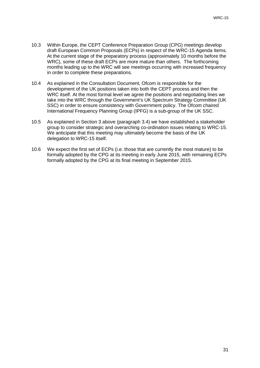- 10.3 Within Europe, the CEPT Conference Preparation Group (CPG) meetings develop draft European Common Proposals (ECPs) in respect of the WRC-15 Agenda Items. At the current stage of the preparatory process (approximately 10 months before the WRC), some of these draft ECPs are more mature than others. The forthcoming months leading up to the WRC will see meetings occurring with increased frequency in order to complete these preparations.
- 10.4 As explained in the Consultation Document, Ofcom is responsible for the development of the UK positions taken into both the CEPT process and then the WRC itself. At the most formal level we agree the positions and negotiating lines we take into the WRC through the Government's UK Spectrum Strategy Committee (UK SSC) in order to ensure consistency with Government policy. The Ofcom chaired International Frequency Planning Group (IPFG) is a sub-group of the UK SSC.
- 10.5 As explained in Section 3 above (paragraph 3.4) we have established a stakeholder group to consider strategic and overarching co-ordination issues relating to WRC-15. We anticipate that this meeting may ultimately become the basis of the UK delegation to WRC-15 itself.
- 10.6 We expect the first set of ECPs (i.e. those that are currently the most mature) to be formally adopted by the CPG at its meeting in early June 2015, with remaining ECPs formally adopted by the CPG at its final meeting in September 2015.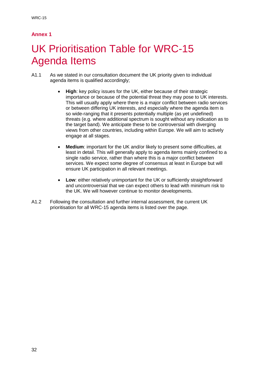## **Annex 1**

# UK Prioritisation Table for WRC-15 Agenda Items

- A1.1 As we stated in our consultation document the UK priority given to individual agenda items is qualified accordingly;
	- **High**: key policy issues for the UK, either because of their strategic importance or because of the potential threat they may pose to UK interests. This will usually apply where there is a major conflict between radio services or between differing UK interests, and especially where the agenda item is so wide-ranging that it presents potentially multiple (as yet undefined) threats (e.g. where additional spectrum is sought without any indication as to the target band). We anticipate these to be controversial with diverging views from other countries, including within Europe. We will aim to actively engage at all stages.
	- **Medium**: important for the UK and/or likely to present some difficulties, at least in detail. This will generally apply to agenda items mainly confined to a single radio service, rather than where this is a major conflict between services. We expect some degree of consensus at least in Europe but will ensure UK participation in all relevant meetings.
	- **Low**: either relatively unimportant for the UK or sufficiently straightforward and uncontroversial that we can expect others to lead with minimum risk to the UK. We will however continue to monitor developments.
- A1.2 Following the consultation and further internal assessment, the current UK prioritisation for all WRC-15 agenda items is listed over the page.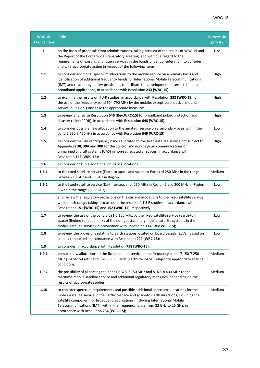| <b>WRC-15</b><br><b>Agenda Item</b> | <b>Title</b>                                                                                                                                                                                                                                                                                                                                                                                          | <b>Current UK</b><br>priority |
|-------------------------------------|-------------------------------------------------------------------------------------------------------------------------------------------------------------------------------------------------------------------------------------------------------------------------------------------------------------------------------------------------------------------------------------------------------|-------------------------------|
| 1                                   | on the basis of proposals from administrations, taking account of the results of WRC-15 and<br>the Report of the Conference Preparatory Meeting, and with due regard to the<br>requirements of existing and future services in the bands under consideration, to consider<br>and take appropriate action in respect of the following items:                                                           | N/A                           |
| 1.1                                 | to consider additional spectrum allocations to the mobile service on a primary basis and<br>identification of additional frequency bands for International Mobile Telecommunications<br>(IMT) and related regulatory provisions, to facilitate the development of terrestrial mobile<br>broadband applications, in accordance with Resolution 233 (WRC-15);                                           | High                          |
| $1.2$                               | to examine the results of ITU-R studies, in accordance with Resolution 232 (WRC-15), on<br>the use of the frequency band 694-790 MHz by the mobile, except aeronautical mobile,<br>service in Region 1 and take the appropriate measures;                                                                                                                                                             | High                          |
| 1.3                                 | to review and revise Resolution 646 (Rev.WRC-15) for broadband public protection and<br>disaster relief (PPDR), in accordance with Resolution 648 (WRC-15);                                                                                                                                                                                                                                           | High                          |
| 1.4                                 | to consider possible new allocation to the amateur service on a secondary basis within the<br>band 5 250-5 450 kHz in accordance with Resolution 649 (WRC-15);                                                                                                                                                                                                                                        | Low                           |
| 1.5                                 | to consider the use of frequency bands allocated to the fixed-satellite service not subject to<br>Appendices 30, 30A and 30B for the control and non-payload communications of<br>unmanned aircraft systems (UAS) in non-segregated airspaces, in accordance with<br>Resolution 153 (WRC-15);                                                                                                         | High                          |
| 1.6                                 | to consider possible additional primary allocations:                                                                                                                                                                                                                                                                                                                                                  |                               |
| 1.6.1                               | to the fixed-satellite service (Earth-to-space and space-to-Earth) of 250 MHz in the range<br>between 10 GHz and 17 GHz in Region 1;                                                                                                                                                                                                                                                                  | Medium                        |
| 1.6.2                               | to the fixed-satellite service (Earth-to-space) of 250 MHz in Region 2 and 300 MHz in Region<br>3 within the range 13-17 GHz;                                                                                                                                                                                                                                                                         | Low                           |
|                                     | and review the regulatory provisions on the current allocations to the fixed-satellite service<br>within each range, taking into account the results of ITU-R studies, in accordance with<br>Resolutions 151 (WRC-15) and 152 (WRC-15), respectively;                                                                                                                                                 |                               |
| 1.7                                 | to review the use of the band 5 091-5 150 MHz by the fixed-satellite service (Earth-to-<br>space) (limited to feeder links of the non-geostationary mobile-satellite systems in the<br>mobile-satellite service) in accordance with Resolution 114 (Rev.WRC-15);                                                                                                                                      | Low                           |
| 1.8                                 | to review the provisions relating to earth stations located on board vessels (ESVs), based on<br>studies conducted in accordance with Resolution 909 (WRC-15);                                                                                                                                                                                                                                        | Low                           |
| 1.9                                 | to consider, in accordance with Resolution 758 (WRC-15):                                                                                                                                                                                                                                                                                                                                              |                               |
| 1.9.1                               | possible new allocations to the fixed-satellite service in the frequency bands 7 150-7 250<br>MHz (space-to-Earth) and 8 400-8 500 MHz (Earth-to-space), subject to appropriate sharing<br>conditions;                                                                                                                                                                                                | Medium                        |
| 1.9.2                               | the possibility of allocating the bands 7 375-7 750 MHz and 8 025-8 400 MHz to the<br>maritime-mobile satellite service and additional regulatory measures, depending on the<br>results of appropriate studies;                                                                                                                                                                                       | Medium                        |
| 1.10                                | to consider spectrum requirements and possible additional spectrum allocations for the<br>mobile-satellite service in the Earth-to-space and space-to-Earth directions, including the<br>satellite component for broadband applications, including International Mobile<br>Telecommunications (IMT), within the frequency range from 22 GHz to 26 GHz, in<br>accordance with Resolution 234 (WRC-15); | Medium                        |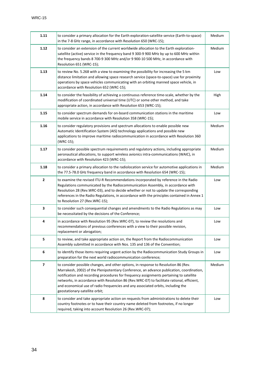| 1.11           | to consider a primary allocation for the Earth exploration-satellite service (Earth-to-space)<br>in the 7-8 GHz range, in accordance with Resolution 650 (WRC-15);                                                                                                                                                                                                                                                                                                                              | Medium |
|----------------|-------------------------------------------------------------------------------------------------------------------------------------------------------------------------------------------------------------------------------------------------------------------------------------------------------------------------------------------------------------------------------------------------------------------------------------------------------------------------------------------------|--------|
| 1.12           | to consider an extension of the current worldwide allocation to the Earth exploration-<br>satellite (active) service in the frequency band 9 300-9 900 MHz by up to 600 MHz within<br>the frequency bands 8 700-9 300 MHz and/or 9 900-10 500 MHz, in accordance with<br>Resolution 651 (WRC-15);                                                                                                                                                                                               | Medium |
| 1.13           | to review No. 5.268 with a view to examining the possibility for increasing the 5 km<br>distance limitation and allowing space research service (space-to-space) use for proximity<br>operations by space vehicles communicating with an orbiting manned space vehicle, in<br>accordance with Resolution 652 (WRC-15);                                                                                                                                                                          | Low    |
| 1.14           | to consider the feasibility of achieving a continuous reference time-scale, whether by the<br>modification of coordinated universal time (UTC) or some other method, and take<br>appropriate action, in accordance with Resolution 653 (WRC-15);                                                                                                                                                                                                                                                | High   |
| 1.15           | to consider spectrum demands for on-board communication stations in the maritime<br>mobile service in accordance with Resolution 358 (WRC-15);                                                                                                                                                                                                                                                                                                                                                  | Low    |
| 1.16           | to consider regulatory provisions and spectrum allocations to enable possible new<br>Automatic Identification System (AIS) technology applications and possible new<br>applications to improve maritime radiocommunication in accordance with Resolution 360<br>(WRC-15);                                                                                                                                                                                                                       | Medium |
| 1.17           | to consider possible spectrum requirements and regulatory actions, including appropriate<br>aeronautical allocations, to support wireless avionics intra-communications (WAIC), in<br>accordance with Resolution 423 (WRC-15);                                                                                                                                                                                                                                                                  | Medium |
| 1.18           | to consider a primary allocation to the radiolocation service for automotive applications in<br>the 77.5-78.0 GHz frequency band in accordance with Resolution 654 (WRC-15);                                                                                                                                                                                                                                                                                                                    | Medium |
| $\mathbf{2}$   | to examine the revised ITU-R Recommendations incorporated by reference in the Radio<br>Regulations communicated by the Radiocommunication Assembly, in accordance with<br>Resolution 28 (Rev.WRC-03), and to decide whether or not to update the corresponding<br>references in the Radio Regulations, in accordance with the principles contained in Annex 1<br>to Resolution 27 (Rev.WRC-15);                                                                                                 | Low    |
| 3              | to consider such consequential changes and amendments to the Radio Regulations as may<br>be necessitated by the decisions of the Conference;                                                                                                                                                                                                                                                                                                                                                    | Low    |
| 4              | in accordance with Resolution 95 (Rev.WRC-07), to review the resolutions and<br>recommendations of previous conferences with a view to their possible revision,<br>replacement or abrogation;                                                                                                                                                                                                                                                                                                   | Low    |
| 5              | to review, and take appropriate action on, the Report from the Radiocommunication<br>Assembly submitted in accordance with Nos. 135 and 136 of the Convention;                                                                                                                                                                                                                                                                                                                                  | Low    |
| 6              | to identify those items requiring urgent action by the Radiocommunication Study Groups in<br>preparation for the next world radiocommunication conference;                                                                                                                                                                                                                                                                                                                                      | Low    |
| $\overline{7}$ | to consider possible changes, and other options, in response to Resolution 86 (Rev.<br>Marrakesh, 2002) of the Plenipotentiary Conference, an advance publication, coordination,<br>notification and recording procedures for frequency assignments pertaining to satellite<br>networks, in accordance with Resolution 86 (Rev.WRC-07) to facilitate rational, efficient,<br>and economical use of radio frequencies and any associated orbits, including the<br>geostationary-satellite orbit; | Medium |
| 8              | to consider and take appropriate action on requests from administrations to delete their<br>country footnotes or to have their country name deleted from footnotes, if no longer<br>required, taking into account Resolution 26 (Rev.WRC-07);                                                                                                                                                                                                                                                   | Low    |